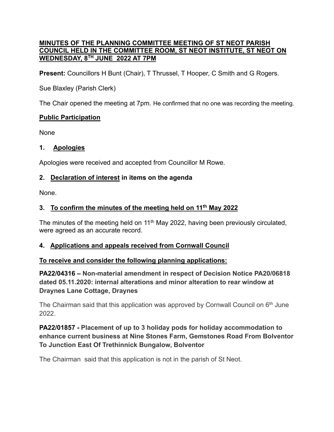#### **MINUTES OF THE PLANNING COMMITTEE MEETING OF ST NEOT PARISH COUNCIL HELD IN THE COMMITTEE ROOM, ST NEOT INSTITUTE, ST NEOT ON WEDNESDAY, 8 TH JUNE 2022 AT 7PM**

**Present:** Councillors H Bunt (Chair), T Thrussel, T Hooper, C Smith and G Rogers.

Sue Blaxley (Parish Clerk)

The Chair opened the meeting at 7pm. He confirmed that no one was recording the meeting.

### **Public Participation**

None

### 1. **Apologies**

Apologies were received and accepted from Councillor M Rowe.

## **2.    Declaration of interest in items on the agenda**

None.

# **3.    To confirm the minutes of the meeting held on 11th May 2022**

The minutes of the meeting held on  $11<sup>th</sup>$  May 2022, having been previously circulated, were agreed as an accurate record.

## **4.    Applications and appeals received from Cornwall Council**

## **To receive and consider the following planning applications:**

**PA22/04316 – Non-material amendment in respect of Decision Notice PA20/06818 dated 05.11.2020: internal alterations and minor alteration to rear window at Draynes Lane Cottage, Draynes**

The Chairman said that this application was approved by Cornwall Council on  $6<sup>th</sup>$  June 2022.

## **PA22/01857 - Placement of up to 3 holiday pods for holiday accommodation to enhance current business at Nine Stones Farm, Gemstones Road From Bolventor To Junction East Of Trethinnick Bungalow, Bolventor**

The Chairman said that this application is not in the parish of St Neot.